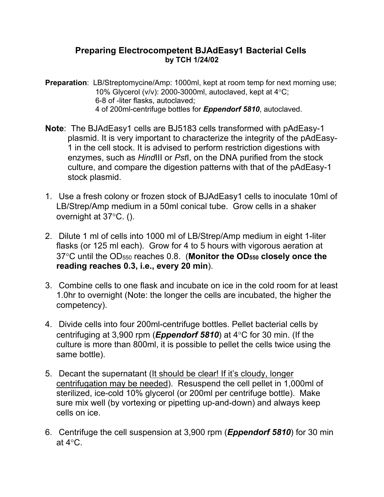## **Preparing Electrocompetent BJAdEasy1 Bacterial Cells by TCH 1/24/02**

- **Preparation**: LB/Streptomycine/Amp: 1000ml, kept at room temp for next morning use; 10% Glycerol (v/v): 2000-3000ml, autoclaved, kept at  $4^{\circ}$ C; 6-8 of -liter flasks, autoclaved; 4 of 200ml-centrifuge bottles for *Eppendorf 5810*, autoclaved.
- **Note**: The BJAdEasy1 cells are BJ5183 cells transformed with pAdEasy-1 plasmid. It is very important to characterize the integrity of the pAdEasy-1 in the cell stock. It is advised to perform restriction digestions with enzymes, such as *Hind*III or *Pst*I, on the DNA purified from the stock culture, and compare the digestion patterns with that of the pAdEasy-1 stock plasmid.
- 1. Use a fresh colony or frozen stock of BJAdEasy1 cells to inoculate 10ml of LB/Strep/Amp medium in a 50ml conical tube. Grow cells in a shaker overnight at  $37^{\circ}$ C. ().
- 2. Dilute 1 ml of cells into 1000 ml of LB/Strep/Amp medium in eight 1-liter flasks (or 125 ml each). Grow for 4 to 5 hours with vigorous aeration at 37C until the OD550 reaches 0.8. (**Monitor the OD550 closely once the reading reaches 0.3, i.e., every 20 min**).
- 3. Combine cells to one flask and incubate on ice in the cold room for at least 1.0hr to overnight (Note: the longer the cells are incubated, the higher the competency).
- 4. Divide cells into four 200ml-centrifuge bottles. Pellet bacterial cells by centrifuging at 3,900 rpm (**Eppendorf 5810**) at  $4^{\circ}$ C for 30 min. (If the culture is more than 800ml, it is possible to pellet the cells twice using the same bottle).
- 5. Decant the supernatant (It should be clear! If it's cloudy, longer centrifugation may be needed). Resuspend the cell pellet in 1,000ml of sterilized, ice-cold 10% glycerol (or 200ml per centrifuge bottle). Make sure mix well (by vortexing or pipetting up-and-down) and always keep cells on ice.
- 6. Centrifuge the cell suspension at 3,900 rpm (*Eppendorf 5810*) for 30 min at  $4^{\circ}$ C.